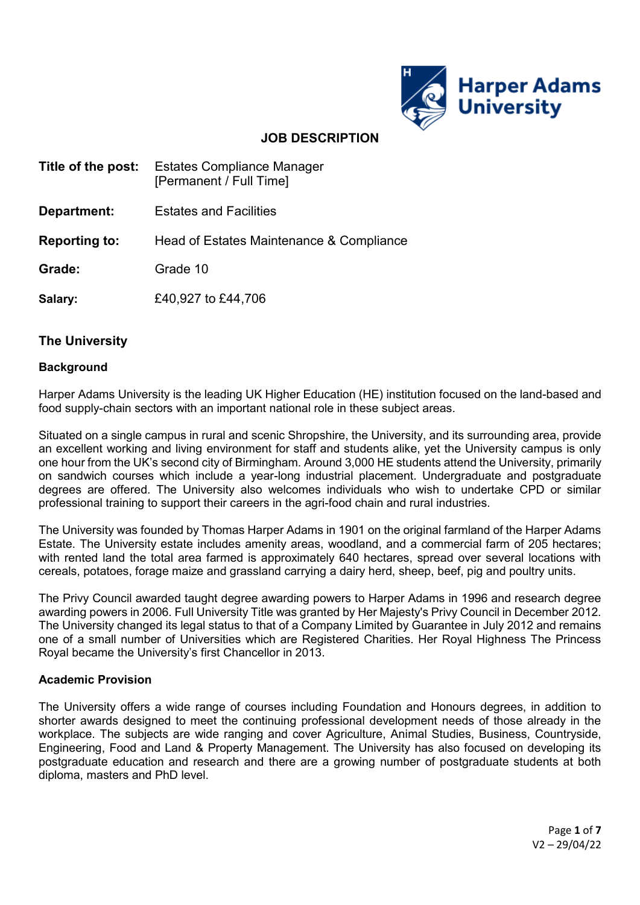

# **JOB DESCRIPTION**

- **Title of the post:** Estates Compliance Manager [Permanent / Full Time]
- **Department:** Estates and Facilities

**Reporting to:** Head of Estates Maintenance & Compliance

**Grade:** Grade 10

**Salary:** £40,927 to £44,706

## **The University**

#### **Background**

Harper Adams University is the leading UK Higher Education (HE) institution focused on the land-based and food supply-chain sectors with an important national role in these subject areas.

Situated on a single campus in rural and scenic Shropshire, the University, and its surrounding area, provide an excellent working and living environment for staff and students alike, yet the University campus is only one hour from the UK's second city of Birmingham. Around 3,000 HE students attend the University, primarily on sandwich courses which include a year-long industrial placement. Undergraduate and postgraduate degrees are offered. The University also welcomes individuals who wish to undertake CPD or similar professional training to support their careers in the agri-food chain and rural industries.

The University was founded by Thomas Harper Adams in 1901 on the original farmland of the Harper Adams Estate. The University estate includes amenity areas, woodland, and a commercial farm of 205 hectares; with rented land the total area farmed is approximately 640 hectares, spread over several locations with cereals, potatoes, forage maize and grassland carrying a dairy herd, sheep, beef, pig and poultry units.

The Privy Council awarded taught degree awarding powers to Harper Adams in 1996 and research degree awarding powers in 2006. Full University Title was granted by Her Majesty's Privy Council in December 2012. The University changed its legal status to that of a Company Limited by Guarantee in July 2012 and remains one of a small number of Universities which are Registered Charities. Her Royal Highness The Princess Royal became the University's first Chancellor in 2013.

## **Academic Provision**

The University offers a wide range of courses including Foundation and Honours degrees, in addition to shorter awards designed to meet the continuing professional development needs of those already in the workplace. The subjects are wide ranging and cover Agriculture, Animal Studies, Business, Countryside, Engineering, Food and Land & Property Management. The University has also focused on developing its postgraduate education and research and there are a growing number of postgraduate students at both diploma, masters and PhD level.

> Page **1** of **7** V2 – 29/04/22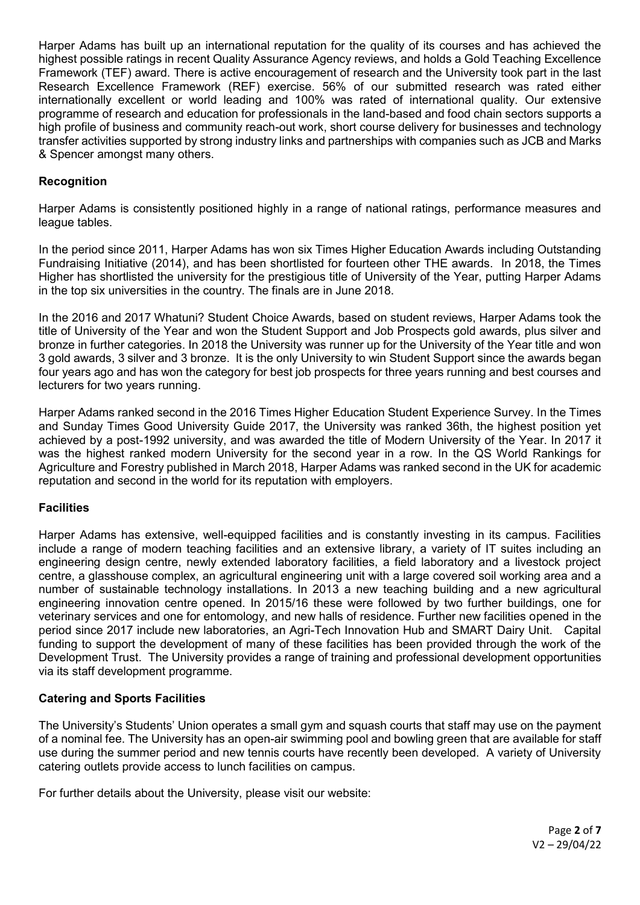Harper Adams has built up an international reputation for the quality of its courses and has achieved the highest possible ratings in recent Quality Assurance Agency reviews, and holds a Gold Teaching Excellence Framework (TEF) award. There is active encouragement of research and the University took part in the last Research Excellence Framework (REF) exercise. 56% of our submitted research was rated either internationally excellent or world leading and 100% was rated of international quality. Our extensive programme of research and education for professionals in the land-based and food chain sectors supports a high profile of business and community reach-out work, short course delivery for businesses and technology transfer activities supported by strong industry links and partnerships with companies such as JCB and Marks & Spencer amongst many others.

## **Recognition**

Harper Adams is consistently positioned highly in a range of national ratings, performance measures and league tables.

In the period since 2011, Harper Adams has won six Times Higher Education Awards including Outstanding Fundraising Initiative (2014), and has been shortlisted for fourteen other THE awards. In 2018, the Times Higher has shortlisted the university for the prestigious title of University of the Year, putting Harper Adams in the top six universities in the country. The finals are in June 2018.

In the 2016 and 2017 Whatuni? Student Choice Awards, based on student reviews, Harper Adams took the title of University of the Year and won the Student Support and Job Prospects gold awards, plus silver and bronze in further categories. In 2018 the University was runner up for the University of the Year title and won 3 gold awards, 3 silver and 3 bronze. It is the only University to win Student Support since the awards began four years ago and has won the category for best job prospects for three years running and best courses and lecturers for two years running.

Harper Adams ranked second in the 2016 Times Higher Education Student Experience Survey. In the Times and Sunday Times Good University Guide 2017, the University was ranked 36th, the highest position yet achieved by a post-1992 university, and was awarded the title of Modern University of the Year. In 2017 it was the highest ranked modern University for the second year in a row. In the QS World Rankings for Agriculture and Forestry published in March 2018, Harper Adams was ranked second in the UK for academic reputation and second in the world for its reputation with employers.

## **Facilities**

Harper Adams has extensive, well-equipped facilities and is constantly investing in its campus. Facilities include a range of modern teaching facilities and an extensive library, a variety of IT suites including an engineering design centre, newly extended laboratory facilities, a field laboratory and a livestock project centre, a glasshouse complex, an agricultural engineering unit with a large covered soil working area and a number of sustainable technology installations. In 2013 a new teaching building and a new agricultural engineering innovation centre opened. In 2015/16 these were followed by two further buildings, one for veterinary services and one for entomology, and new halls of residence. Further new facilities opened in the period since 2017 include new laboratories, an Agri-Tech Innovation Hub and SMART Dairy Unit. Capital funding to support the development of many of these facilities has been provided through the work of the Development Trust. The University provides a range of training and professional development opportunities via its staff development programme.

## **Catering and Sports Facilities**

The University's Students' Union operates a small gym and squash courts that staff may use on the payment of a nominal fee. The University has an open-air swimming pool and bowling green that are available for staff use during the summer period and new tennis courts have recently been developed. A variety of University catering outlets provide access to lunch facilities on campus.

For further details about the University, please visit our website: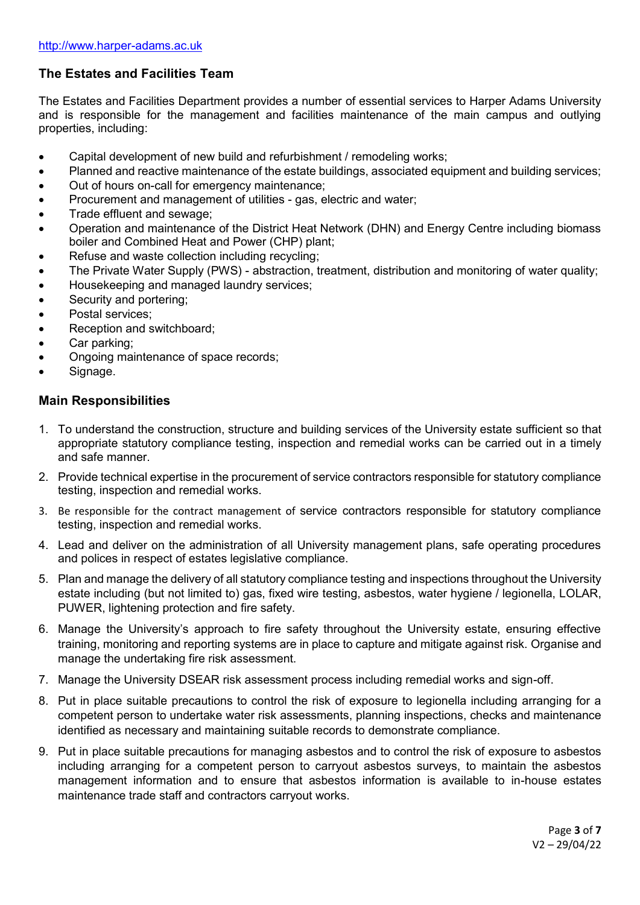# **The Estates and Facilities Team**

The Estates and Facilities Department provides a number of essential services to Harper Adams University and is responsible for the management and facilities maintenance of the main campus and outlying properties, including:

- Capital development of new build and refurbishment / remodeling works;
- Planned and reactive maintenance of the estate buildings, associated equipment and building services;
- Out of hours on-call for emergency maintenance;
- Procurement and management of utilities gas, electric and water;
- Trade effluent and sewage;
- Operation and maintenance of the District Heat Network (DHN) and Energy Centre including biomass boiler and Combined Heat and Power (CHP) plant;
- Refuse and waste collection including recycling;
- The Private Water Supply (PWS) abstraction, treatment, distribution and monitoring of water quality;
- Housekeeping and managed laundry services;
- Security and portering;
- Postal services:
- Reception and switchboard;
- Car parking;
- Ongoing maintenance of space records;
- Signage.

## **Main Responsibilities**

- 1. To understand the construction, structure and building services of the University estate sufficient so that appropriate statutory compliance testing, inspection and remedial works can be carried out in a timely and safe manner.
- 2. Provide technical expertise in the procurement of service contractors responsible for statutory compliance testing, inspection and remedial works.
- 3. Be responsible for the contract management of service contractors responsible for statutory compliance testing, inspection and remedial works.
- 4. Lead and deliver on the administration of all University management plans, safe operating procedures and polices in respect of estates legislative compliance.
- 5. Plan and manage the delivery of all statutory compliance testing and inspections throughout the University estate including (but not limited to) gas, fixed wire testing, asbestos, water hygiene / legionella, LOLAR, PUWER, lightening protection and fire safety.
- 6. Manage the University's approach to fire safety throughout the University estate, ensuring effective training, monitoring and reporting systems are in place to capture and mitigate against risk. Organise and manage the undertaking fire risk assessment.
- 7. Manage the University DSEAR risk assessment process including remedial works and sign-off.
- 8. Put in place suitable precautions to control the risk of exposure to legionella including arranging for a competent person to undertake water risk assessments, planning inspections, checks and maintenance identified as necessary and maintaining suitable records to demonstrate compliance.
- 9. Put in place suitable precautions for managing asbestos and to control the risk of exposure to asbestos including arranging for a competent person to carryout asbestos surveys, to maintain the asbestos management information and to ensure that asbestos information is available to in-house estates maintenance trade staff and contractors carryout works.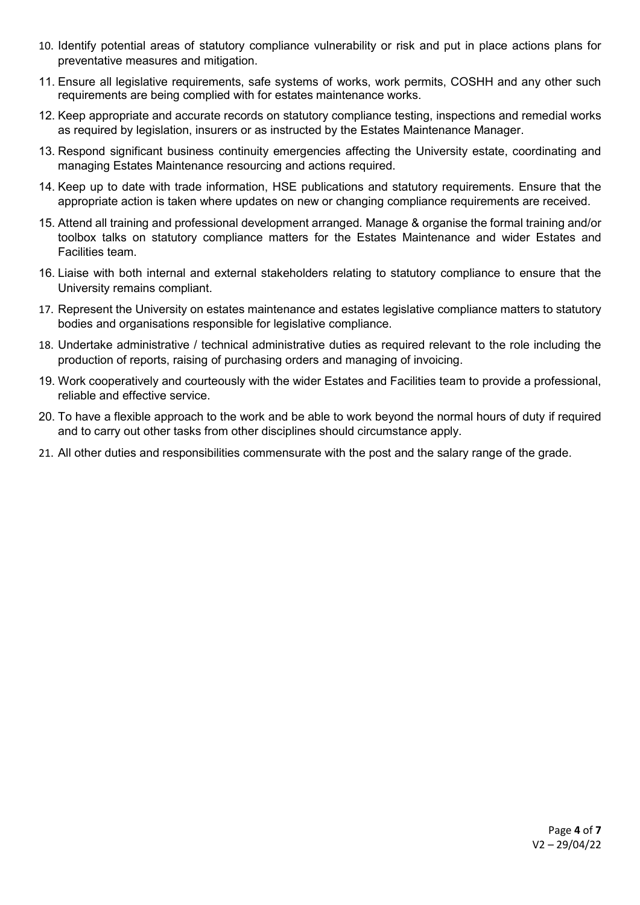- 10. Identify potential areas of statutory compliance vulnerability or risk and put in place actions plans for preventative measures and mitigation.
- 11. Ensure all legislative requirements, safe systems of works, work permits, COSHH and any other such requirements are being complied with for estates maintenance works.
- 12. Keep appropriate and accurate records on statutory compliance testing, inspections and remedial works as required by legislation, insurers or as instructed by the Estates Maintenance Manager.
- 13. Respond significant business continuity emergencies affecting the University estate, coordinating and managing Estates Maintenance resourcing and actions required.
- 14. Keep up to date with trade information, HSE publications and statutory requirements. Ensure that the appropriate action is taken where updates on new or changing compliance requirements are received.
- 15. Attend all training and professional development arranged. Manage & organise the formal training and/or toolbox talks on statutory compliance matters for the Estates Maintenance and wider Estates and Facilities team.
- 16. Liaise with both internal and external stakeholders relating to statutory compliance to ensure that the University remains compliant.
- 17. Represent the University on estates maintenance and estates legislative compliance matters to statutory bodies and organisations responsible for legislative compliance.
- 18. Undertake administrative / technical administrative duties as required relevant to the role including the production of reports, raising of purchasing orders and managing of invoicing.
- 19. Work cooperatively and courteously with the wider Estates and Facilities team to provide a professional, reliable and effective service.
- 20. To have a flexible approach to the work and be able to work beyond the normal hours of duty if required and to carry out other tasks from other disciplines should circumstance apply.
- 21. All other duties and responsibilities commensurate with the post and the salary range of the grade.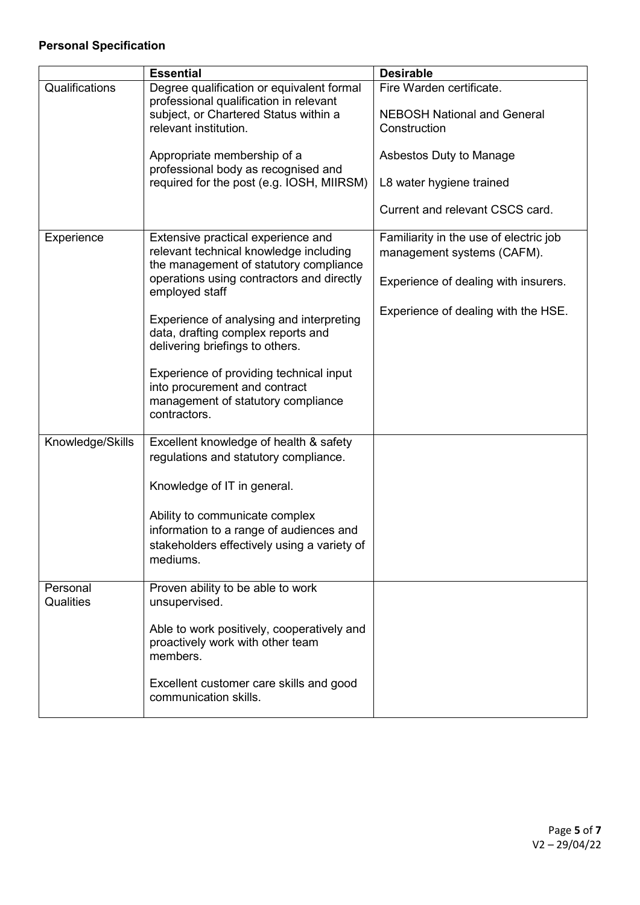# **Personal Specification**

|                  | <b>Essential</b>                                                                                                               | <b>Desirable</b>                                                     |
|------------------|--------------------------------------------------------------------------------------------------------------------------------|----------------------------------------------------------------------|
| Qualifications   | Degree qualification or equivalent formal<br>professional qualification in relevant                                            | Fire Warden certificate.                                             |
|                  | subject, or Chartered Status within a                                                                                          | <b>NEBOSH National and General</b>                                   |
|                  | relevant institution.                                                                                                          | Construction                                                         |
|                  | Appropriate membership of a<br>professional body as recognised and                                                             | Asbestos Duty to Manage                                              |
|                  | required for the post (e.g. IOSH, MIIRSM)                                                                                      | L8 water hygiene trained                                             |
|                  |                                                                                                                                | Current and relevant CSCS card.                                      |
| Experience       | Extensive practical experience and<br>relevant technical knowledge including                                                   | Familiarity in the use of electric job<br>management systems (CAFM). |
|                  | the management of statutory compliance<br>operations using contractors and directly<br>employed staff                          | Experience of dealing with insurers.                                 |
|                  | Experience of analysing and interpreting<br>data, drafting complex reports and<br>delivering briefings to others.              | Experience of dealing with the HSE.                                  |
|                  | Experience of providing technical input<br>into procurement and contract<br>management of statutory compliance<br>contractors. |                                                                      |
| Knowledge/Skills | Excellent knowledge of health & safety<br>regulations and statutory compliance.                                                |                                                                      |
|                  | Knowledge of IT in general.                                                                                                    |                                                                      |
|                  | Ability to communicate complex                                                                                                 |                                                                      |
|                  | information to a range of audiences and                                                                                        |                                                                      |
|                  | stakeholders effectively using a variety of<br>mediums.                                                                        |                                                                      |
| Personal         | Proven ability to be able to work                                                                                              |                                                                      |
| Qualities        | unsupervised.                                                                                                                  |                                                                      |
|                  | Able to work positively, cooperatively and<br>proactively work with other team<br>members.                                     |                                                                      |
|                  | Excellent customer care skills and good<br>communication skills.                                                               |                                                                      |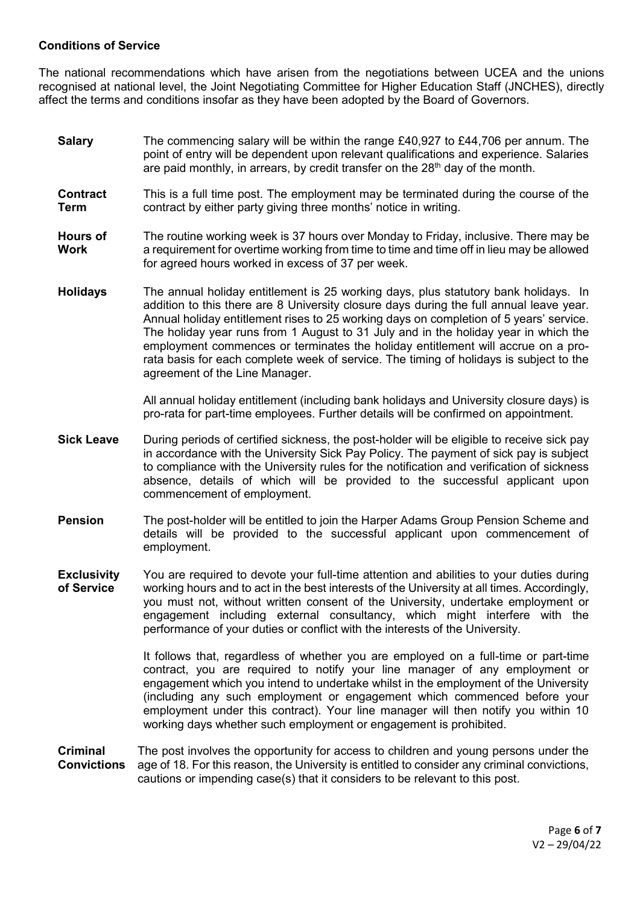### **Conditions of Service**

The national recommendations which have arisen from the negotiations between UCEA and the unions recognised at national level, the Joint Negotiating Committee for Higher Education Staff (JNCHES), directly affect the terms and conditions insofar as they have been adopted by the Board of Governors.

- **Salary** The commencing salary will be within the range £40,927 to £44,706 per annum. The point of entry will be dependent upon relevant qualifications and experience. Salaries are paid monthly, in arrears, by credit transfer on the  $28<sup>th</sup>$  day of the month.
- **Contract Term** This is a full time post. The employment may be terminated during the course of the contract by either party giving three months' notice in writing.
- **Hours of Work** The routine working week is 37 hours over Monday to Friday, inclusive. There may be a requirement for overtime working from time to time and time off in lieu may be allowed for agreed hours worked in excess of 37 per week.
- **Holidays** The annual holiday entitlement is 25 working days, plus statutory bank holidays. In addition to this there are 8 University closure days during the full annual leave year. Annual holiday entitlement rises to 25 working days on completion of 5 years' service. The holiday year runs from 1 August to 31 July and in the holiday year in which the employment commences or terminates the holiday entitlement will accrue on a prorata basis for each complete week of service. The timing of holidays is subject to the agreement of the Line Manager.

All annual holiday entitlement (including bank holidays and University closure days) is pro-rata for part-time employees. Further details will be confirmed on appointment.

- **Sick Leave** During periods of certified sickness, the post-holder will be eligible to receive sick pay in accordance with the University Sick Pay Policy. The payment of sick pay is subject to compliance with the University rules for the notification and verification of sickness absence, details of which will be provided to the successful applicant upon commencement of employment.
- **Pension** The post-holder will be entitled to join the Harper Adams Group Pension Scheme and details will be provided to the successful applicant upon commencement of employment.
- **Exclusivity of Service**  You are required to devote your full-time attention and abilities to your duties during working hours and to act in the best interests of the University at all times. Accordingly, you must not, without written consent of the University, undertake employment or engagement including external consultancy, which might interfere with the performance of your duties or conflict with the interests of the University.

It follows that, regardless of whether you are employed on a full-time or part-time contract, you are required to notify your line manager of any employment or engagement which you intend to undertake whilst in the employment of the University (including any such employment or engagement which commenced before your employment under this contract). Your line manager will then notify you within 10 working days whether such employment or engagement is prohibited.

**Criminal Convictions** The post involves the opportunity for access to children and young persons under the age of 18. For this reason, the University is entitled to consider any criminal convictions, cautions or impending case(s) that it considers to be relevant to this post.